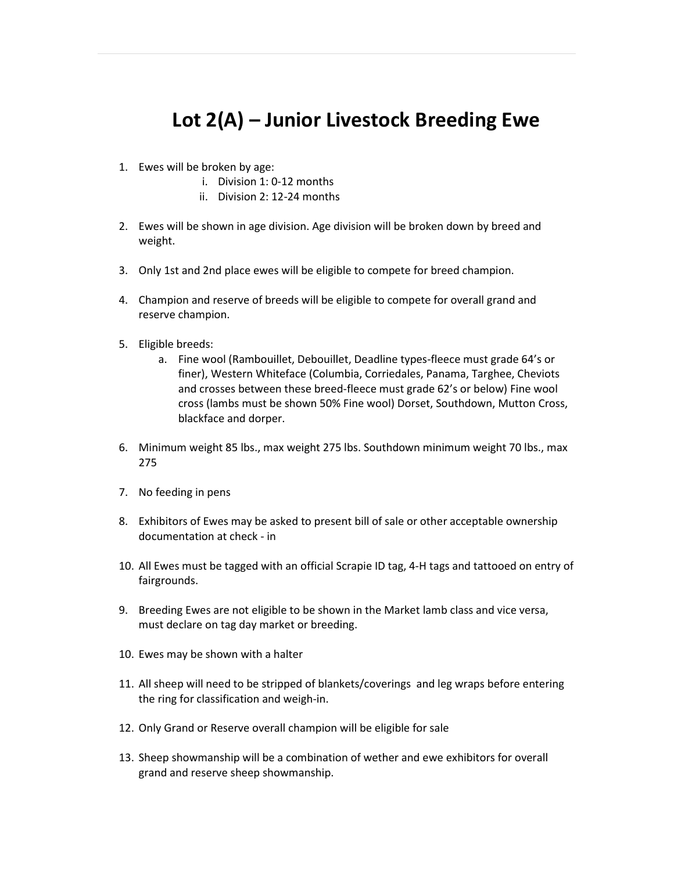## Lot 2(A) – Junior Livestock Breeding Ewe

- 1. Ewes will be broken by age:
	- i. Division 1: 0-12 months
	- ii. Division 2: 12-24 months
- 2. Ewes will be shown in age division. Age division will be broken down by breed and weight.
- 3. Only 1st and 2nd place ewes will be eligible to compete for breed champion.
- 4. Champion and reserve of breeds will be eligible to compete for overall grand and reserve champion.
- 5. Eligible breeds:
	- a. Fine wool (Rambouillet, Debouillet, Deadline types-fleece must grade 64's or finer), Western Whiteface (Columbia, Corriedales, Panama, Targhee, Cheviots and crosses between these breed-fleece must grade 62's or below) Fine wool cross (lambs must be shown 50% Fine wool) Dorset, Southdown, Mutton Cross, blackface and dorper.
- 6. Minimum weight 85 lbs., max weight 275 lbs. Southdown minimum weight 70 lbs., max 275
- 7. No feeding in pens
- 8. Exhibitors of Ewes may be asked to present bill of sale or other acceptable ownership documentation at check - in
- 10. All Ewes must be tagged with an official Scrapie ID tag, 4-H tags and tattooed on entry of fairgrounds.
- 9. Breeding Ewes are not eligible to be shown in the Market lamb class and vice versa, must declare on tag day market or breeding.
- 10. Ewes may be shown with a halter
- 11. All sheep will need to be stripped of blankets/coverings and leg wraps before entering the ring for classification and weigh-in.
- 12. Only Grand or Reserve overall champion will be eligible for sale
- 13. Sheep showmanship will be a combination of wether and ewe exhibitors for overall grand and reserve sheep showmanship.